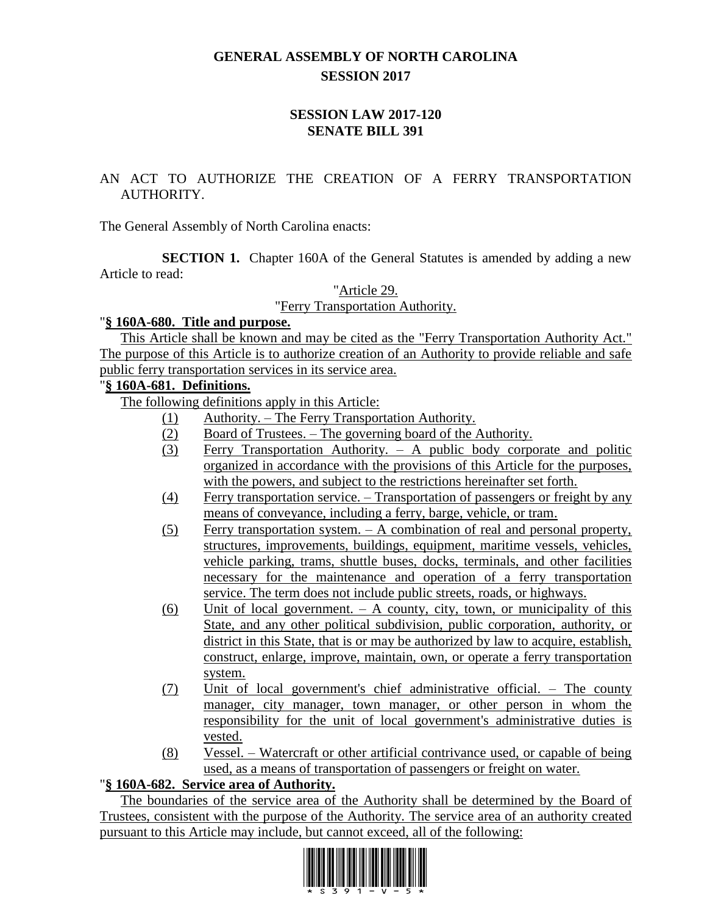# **GENERAL ASSEMBLY OF NORTH CAROLINA SESSION 2017**

### **SESSION LAW 2017-120 SENATE BILL 391**

## AN ACT TO AUTHORIZE THE CREATION OF A FERRY TRANSPORTATION AUTHORITY.

The General Assembly of North Carolina enacts:

**SECTION 1.** Chapter 160A of the General Statutes is amended by adding a new Article to read:

"Article 29.

"Ferry Transportation Authority.

### "**§ 160A-680. Title and purpose.**

This Article shall be known and may be cited as the "Ferry Transportation Authority Act." The purpose of this Article is to authorize creation of an Authority to provide reliable and safe public ferry transportation services in its service area.

## "**§ 160A-681. Definitions.**

The following definitions apply in this Article:

- (1) Authority. The Ferry Transportation Authority.
- (2) Board of Trustees. The governing board of the Authority.
- (3) Ferry Transportation Authority. A public body corporate and politic organized in accordance with the provisions of this Article for the purposes, with the powers, and subject to the restrictions hereinafter set forth.
- (4) Ferry transportation service. Transportation of passengers or freight by any means of conveyance, including a ferry, barge, vehicle, or tram.
- (5) Ferry transportation system. A combination of real and personal property, structures, improvements, buildings, equipment, maritime vessels, vehicles, vehicle parking, trams, shuttle buses, docks, terminals, and other facilities necessary for the maintenance and operation of a ferry transportation service. The term does not include public streets, roads, or highways.
- $(6)$  Unit of local government. A county, city, town, or municipality of this State, and any other political subdivision, public corporation, authority, or district in this State, that is or may be authorized by law to acquire, establish, construct, enlarge, improve, maintain, own, or operate a ferry transportation system.
- (7) Unit of local government's chief administrative official. The county manager, city manager, town manager, or other person in whom the responsibility for the unit of local government's administrative duties is vested.
- (8) Vessel. Watercraft or other artificial contrivance used, or capable of being used, as a means of transportation of passengers or freight on water.

## "**§ 160A-682. Service area of Authority.**

The boundaries of the service area of the Authority shall be determined by the Board of Trustees, consistent with the purpose of the Authority. The service area of an authority created pursuant to this Article may include, but cannot exceed, all of the following:

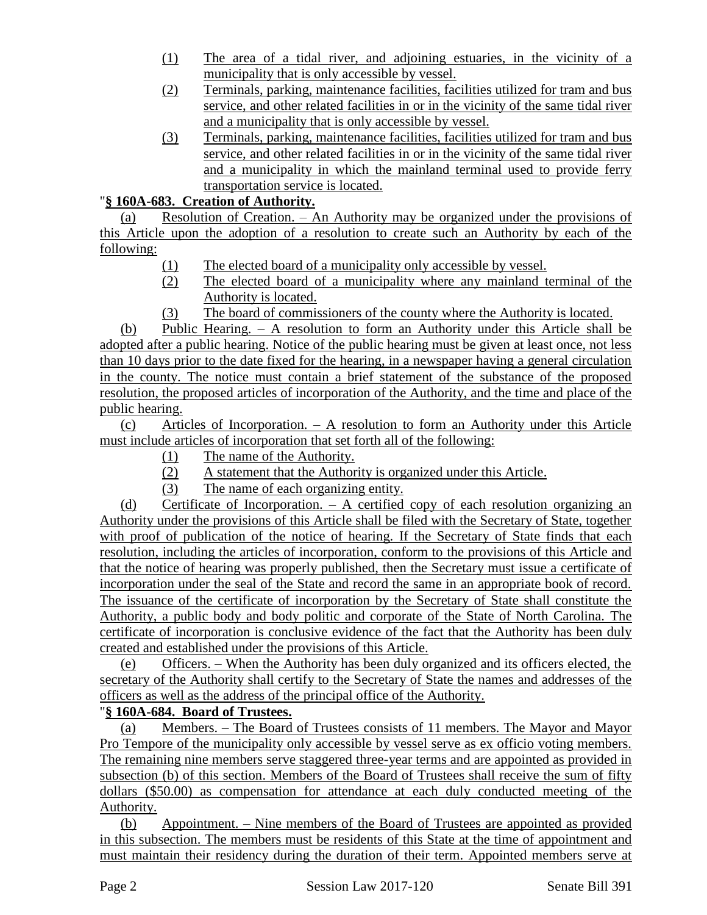- (1) The area of a tidal river, and adjoining estuaries, in the vicinity of a municipality that is only accessible by vessel.
- (2) Terminals, parking, maintenance facilities, facilities utilized for tram and bus service, and other related facilities in or in the vicinity of the same tidal river and a municipality that is only accessible by vessel.
- (3) Terminals, parking, maintenance facilities, facilities utilized for tram and bus service, and other related facilities in or in the vicinity of the same tidal river and a municipality in which the mainland terminal used to provide ferry transportation service is located.

## "**§ 160A-683. Creation of Authority.**

(a) Resolution of Creation. – An Authority may be organized under the provisions of this Article upon the adoption of a resolution to create such an Authority by each of the following:

- (1) The elected board of a municipality only accessible by vessel.
- (2) The elected board of a municipality where any mainland terminal of the Authority is located.
- (3) The board of commissioners of the county where the Authority is located.

(b) Public Hearing. – A resolution to form an Authority under this Article shall be adopted after a public hearing. Notice of the public hearing must be given at least once, not less than 10 days prior to the date fixed for the hearing, in a newspaper having a general circulation in the county. The notice must contain a brief statement of the substance of the proposed resolution, the proposed articles of incorporation of the Authority, and the time and place of the public hearing.

(c) Articles of Incorporation. – A resolution to form an Authority under this Article must include articles of incorporation that set forth all of the following:

- (1) The name of the Authority.
- (2) A statement that the Authority is organized under this Article.
- (3) The name of each organizing entity.

(d) Certificate of Incorporation. – A certified copy of each resolution organizing an Authority under the provisions of this Article shall be filed with the Secretary of State, together with proof of publication of the notice of hearing. If the Secretary of State finds that each resolution, including the articles of incorporation, conform to the provisions of this Article and that the notice of hearing was properly published, then the Secretary must issue a certificate of incorporation under the seal of the State and record the same in an appropriate book of record. The issuance of the certificate of incorporation by the Secretary of State shall constitute the Authority, a public body and body politic and corporate of the State of North Carolina. The certificate of incorporation is conclusive evidence of the fact that the Authority has been duly created and established under the provisions of this Article.

(e) Officers. – When the Authority has been duly organized and its officers elected, the secretary of the Authority shall certify to the Secretary of State the names and addresses of the officers as well as the address of the principal office of the Authority.

## "**§ 160A-684. Board of Trustees.**

(a) Members. – The Board of Trustees consists of 11 members. The Mayor and Mayor Pro Tempore of the municipality only accessible by vessel serve as ex officio voting members. The remaining nine members serve staggered three-year terms and are appointed as provided in subsection (b) of this section. Members of the Board of Trustees shall receive the sum of fifty dollars (\$50.00) as compensation for attendance at each duly conducted meeting of the Authority.

(b) Appointment. – Nine members of the Board of Trustees are appointed as provided in this subsection. The members must be residents of this State at the time of appointment and must maintain their residency during the duration of their term. Appointed members serve at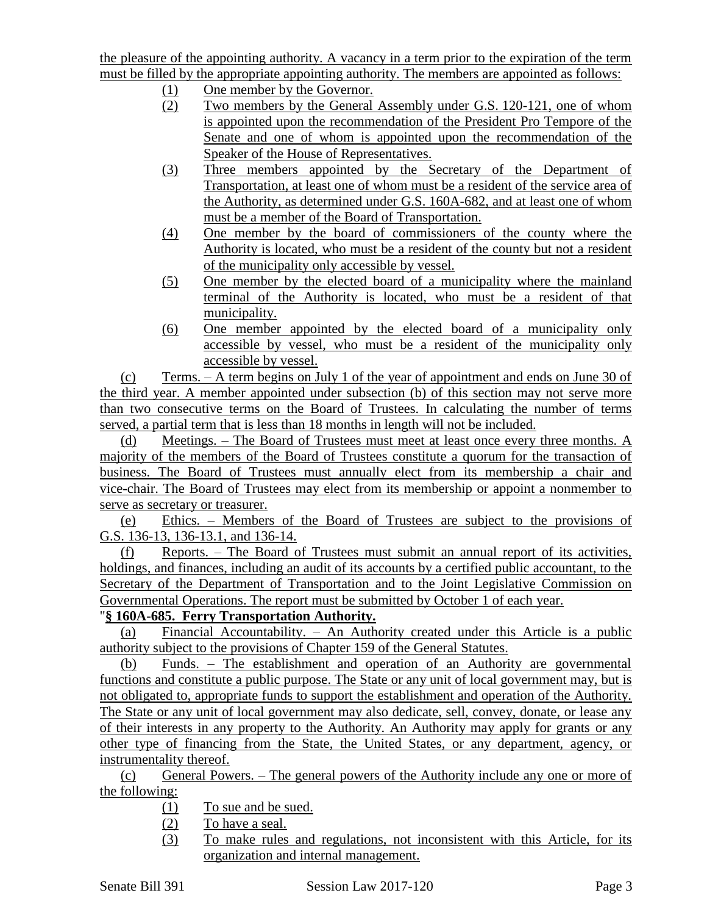the pleasure of the appointing authority. A vacancy in a term prior to the expiration of the term must be filled by the appropriate appointing authority. The members are appointed as follows:

- (1) One member by the Governor.
- (2) Two members by the General Assembly under G.S. 120-121, one of whom is appointed upon the recommendation of the President Pro Tempore of the Senate and one of whom is appointed upon the recommendation of the Speaker of the House of Representatives.
- (3) Three members appointed by the Secretary of the Department of Transportation, at least one of whom must be a resident of the service area of the Authority, as determined under G.S. 160A-682, and at least one of whom must be a member of the Board of Transportation.
- (4) One member by the board of commissioners of the county where the Authority is located, who must be a resident of the county but not a resident of the municipality only accessible by vessel.
- (5) One member by the elected board of a municipality where the mainland terminal of the Authority is located, who must be a resident of that municipality.
- (6) One member appointed by the elected board of a municipality only accessible by vessel, who must be a resident of the municipality only accessible by vessel.

(c) Terms. – A term begins on July 1 of the year of appointment and ends on June 30 of the third year. A member appointed under subsection (b) of this section may not serve more than two consecutive terms on the Board of Trustees. In calculating the number of terms served, a partial term that is less than 18 months in length will not be included.

(d) Meetings. – The Board of Trustees must meet at least once every three months. A majority of the members of the Board of Trustees constitute a quorum for the transaction of business. The Board of Trustees must annually elect from its membership a chair and vice-chair. The Board of Trustees may elect from its membership or appoint a nonmember to serve as secretary or treasurer.

(e) Ethics. – Members of the Board of Trustees are subject to the provisions of G.S. 136-13, 136-13.1, and 136-14.

(f) Reports. – The Board of Trustees must submit an annual report of its activities, holdings, and finances, including an audit of its accounts by a certified public accountant, to the Secretary of the Department of Transportation and to the Joint Legislative Commission on Governmental Operations. The report must be submitted by October 1 of each year.

# "**§ 160A-685. Ferry Transportation Authority.**

(a) Financial Accountability. – An Authority created under this Article is a public authority subject to the provisions of Chapter 159 of the General Statutes.

(b) Funds. – The establishment and operation of an Authority are governmental functions and constitute a public purpose. The State or any unit of local government may, but is not obligated to, appropriate funds to support the establishment and operation of the Authority. The State or any unit of local government may also dedicate, sell, convey, donate, or lease any of their interests in any property to the Authority. An Authority may apply for grants or any other type of financing from the State, the United States, or any department, agency, or instrumentality thereof.

(c) General Powers. – The general powers of the Authority include any one or more of the following:

- (1) To sue and be sued.
- (2) To have a seal.
- (3) To make rules and regulations, not inconsistent with this Article, for its organization and internal management.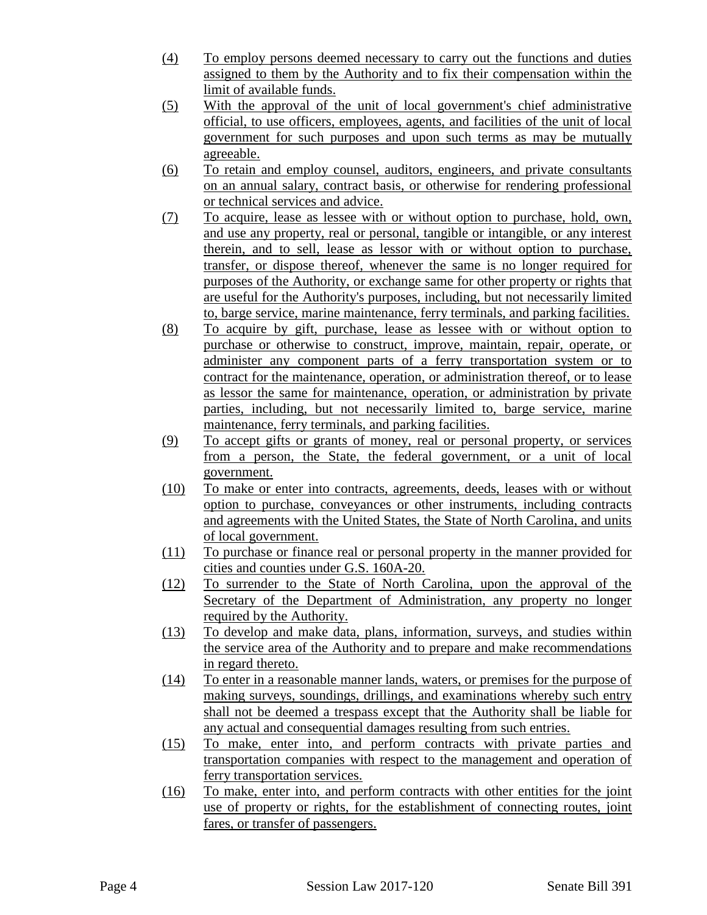- (4) To employ persons deemed necessary to carry out the functions and duties assigned to them by the Authority and to fix their compensation within the limit of available funds.
- (5) With the approval of the unit of local government's chief administrative official, to use officers, employees, agents, and facilities of the unit of local government for such purposes and upon such terms as may be mutually agreeable.
- (6) To retain and employ counsel, auditors, engineers, and private consultants on an annual salary, contract basis, or otherwise for rendering professional or technical services and advice.
- (7) To acquire, lease as lessee with or without option to purchase, hold, own, and use any property, real or personal, tangible or intangible, or any interest therein, and to sell, lease as lessor with or without option to purchase, transfer, or dispose thereof, whenever the same is no longer required for purposes of the Authority, or exchange same for other property or rights that are useful for the Authority's purposes, including, but not necessarily limited to, barge service, marine maintenance, ferry terminals, and parking facilities.
- (8) To acquire by gift, purchase, lease as lessee with or without option to purchase or otherwise to construct, improve, maintain, repair, operate, or administer any component parts of a ferry transportation system or to contract for the maintenance, operation, or administration thereof, or to lease as lessor the same for maintenance, operation, or administration by private parties, including, but not necessarily limited to, barge service, marine maintenance, ferry terminals, and parking facilities.
- (9) To accept gifts or grants of money, real or personal property, or services from a person, the State, the federal government, or a unit of local government.
- (10) To make or enter into contracts, agreements, deeds, leases with or without option to purchase, conveyances or other instruments, including contracts and agreements with the United States, the State of North Carolina, and units of local government.
- (11) To purchase or finance real or personal property in the manner provided for cities and counties under G.S. 160A-20.
- (12) To surrender to the State of North Carolina, upon the approval of the Secretary of the Department of Administration, any property no longer required by the Authority.
- (13) To develop and make data, plans, information, surveys, and studies within the service area of the Authority and to prepare and make recommendations in regard thereto.
- (14) To enter in a reasonable manner lands, waters, or premises for the purpose of making surveys, soundings, drillings, and examinations whereby such entry shall not be deemed a trespass except that the Authority shall be liable for any actual and consequential damages resulting from such entries.
- (15) To make, enter into, and perform contracts with private parties and transportation companies with respect to the management and operation of ferry transportation services.
- (16) To make, enter into, and perform contracts with other entities for the joint use of property or rights, for the establishment of connecting routes, joint fares, or transfer of passengers.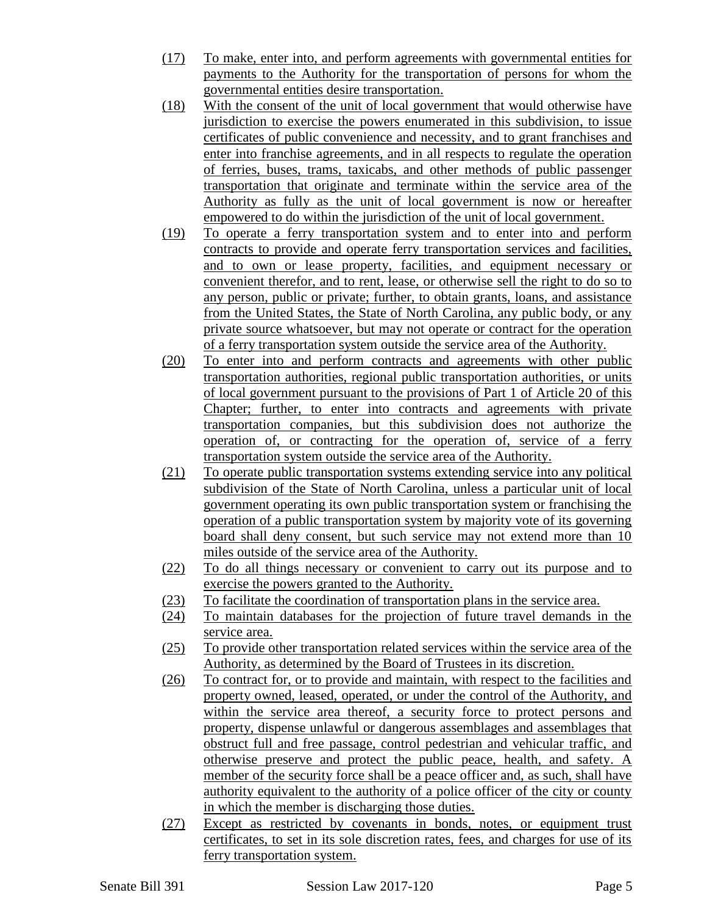- (17) To make, enter into, and perform agreements with governmental entities for payments to the Authority for the transportation of persons for whom the governmental entities desire transportation.
- (18) With the consent of the unit of local government that would otherwise have jurisdiction to exercise the powers enumerated in this subdivision, to issue certificates of public convenience and necessity, and to grant franchises and enter into franchise agreements, and in all respects to regulate the operation of ferries, buses, trams, taxicabs, and other methods of public passenger transportation that originate and terminate within the service area of the Authority as fully as the unit of local government is now or hereafter empowered to do within the jurisdiction of the unit of local government.
- (19) To operate a ferry transportation system and to enter into and perform contracts to provide and operate ferry transportation services and facilities, and to own or lease property, facilities, and equipment necessary or convenient therefor, and to rent, lease, or otherwise sell the right to do so to any person, public or private; further, to obtain grants, loans, and assistance from the United States, the State of North Carolina, any public body, or any private source whatsoever, but may not operate or contract for the operation of a ferry transportation system outside the service area of the Authority.
- (20) To enter into and perform contracts and agreements with other public transportation authorities, regional public transportation authorities, or units of local government pursuant to the provisions of Part 1 of Article 20 of this Chapter; further, to enter into contracts and agreements with private transportation companies, but this subdivision does not authorize the operation of, or contracting for the operation of, service of a ferry transportation system outside the service area of the Authority.
- (21) To operate public transportation systems extending service into any political subdivision of the State of North Carolina, unless a particular unit of local government operating its own public transportation system or franchising the operation of a public transportation system by majority vote of its governing board shall deny consent, but such service may not extend more than 10 miles outside of the service area of the Authority.
- (22) To do all things necessary or convenient to carry out its purpose and to exercise the powers granted to the Authority.
- (23) To facilitate the coordination of transportation plans in the service area.
- (24) To maintain databases for the projection of future travel demands in the service area.
- (25) To provide other transportation related services within the service area of the Authority, as determined by the Board of Trustees in its discretion.
- (26) To contract for, or to provide and maintain, with respect to the facilities and property owned, leased, operated, or under the control of the Authority, and within the service area thereof, a security force to protect persons and property, dispense unlawful or dangerous assemblages and assemblages that obstruct full and free passage, control pedestrian and vehicular traffic, and otherwise preserve and protect the public peace, health, and safety. A member of the security force shall be a peace officer and, as such, shall have authority equivalent to the authority of a police officer of the city or county in which the member is discharging those duties.
- (27) Except as restricted by covenants in bonds, notes, or equipment trust certificates, to set in its sole discretion rates, fees, and charges for use of its ferry transportation system.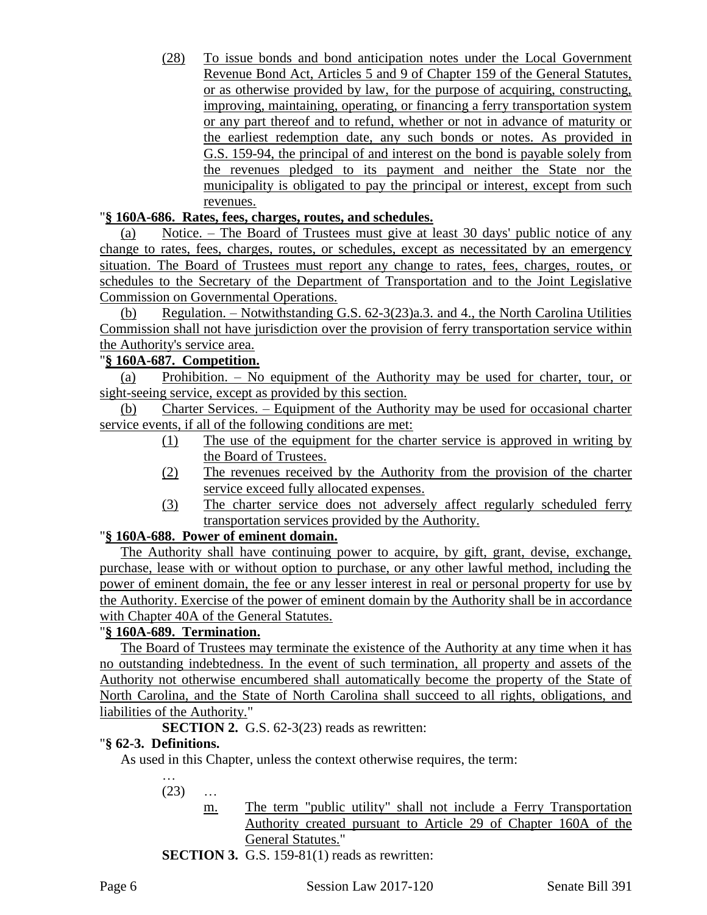(28) To issue bonds and bond anticipation notes under the Local Government Revenue Bond Act, Articles 5 and 9 of Chapter 159 of the General Statutes, or as otherwise provided by law, for the purpose of acquiring, constructing, improving, maintaining, operating, or financing a ferry transportation system or any part thereof and to refund, whether or not in advance of maturity or the earliest redemption date, any such bonds or notes. As provided in G.S. 159-94, the principal of and interest on the bond is payable solely from the revenues pledged to its payment and neither the State nor the municipality is obligated to pay the principal or interest, except from such revenues.

### "**§ 160A-686. Rates, fees, charges, routes, and schedules.**

(a) Notice. – The Board of Trustees must give at least 30 days' public notice of any change to rates, fees, charges, routes, or schedules, except as necessitated by an emergency situation. The Board of Trustees must report any change to rates, fees, charges, routes, or schedules to the Secretary of the Department of Transportation and to the Joint Legislative Commission on Governmental Operations.

(b) Regulation. – Notwithstanding G.S. 62-3(23)a.3. and 4., the North Carolina Utilities Commission shall not have jurisdiction over the provision of ferry transportation service within the Authority's service area.

### "**§ 160A-687. Competition.**

(a) Prohibition. – No equipment of the Authority may be used for charter, tour, or sight-seeing service, except as provided by this section.

(b) Charter Services. – Equipment of the Authority may be used for occasional charter service events, if all of the following conditions are met:

- (1) The use of the equipment for the charter service is approved in writing by the Board of Trustees.
- (2) The revenues received by the Authority from the provision of the charter service exceed fully allocated expenses.
- (3) The charter service does not adversely affect regularly scheduled ferry transportation services provided by the Authority.

## "**§ 160A-688. Power of eminent domain.**

The Authority shall have continuing power to acquire, by gift, grant, devise, exchange, purchase, lease with or without option to purchase, or any other lawful method, including the power of eminent domain, the fee or any lesser interest in real or personal property for use by the Authority. Exercise of the power of eminent domain by the Authority shall be in accordance with Chapter 40A of the General Statutes.

### "**§ 160A-689. Termination.**

The Board of Trustees may terminate the existence of the Authority at any time when it has no outstanding indebtedness. In the event of such termination, all property and assets of the Authority not otherwise encumbered shall automatically become the property of the State of North Carolina, and the State of North Carolina shall succeed to all rights, obligations, and liabilities of the Authority."

**SECTION 2.** G.S. 62-3(23) reads as rewritten:

#### "**§ 62-3. Definitions.**

As used in this Chapter, unless the context otherwise requires, the term:

…  $(23)$  ...

- m. The term "public utility" shall not include a Ferry Transportation Authority created pursuant to Article 29 of Chapter 160A of the General Statutes."
- **SECTION 3.** G.S. 159-81(1) reads as rewritten: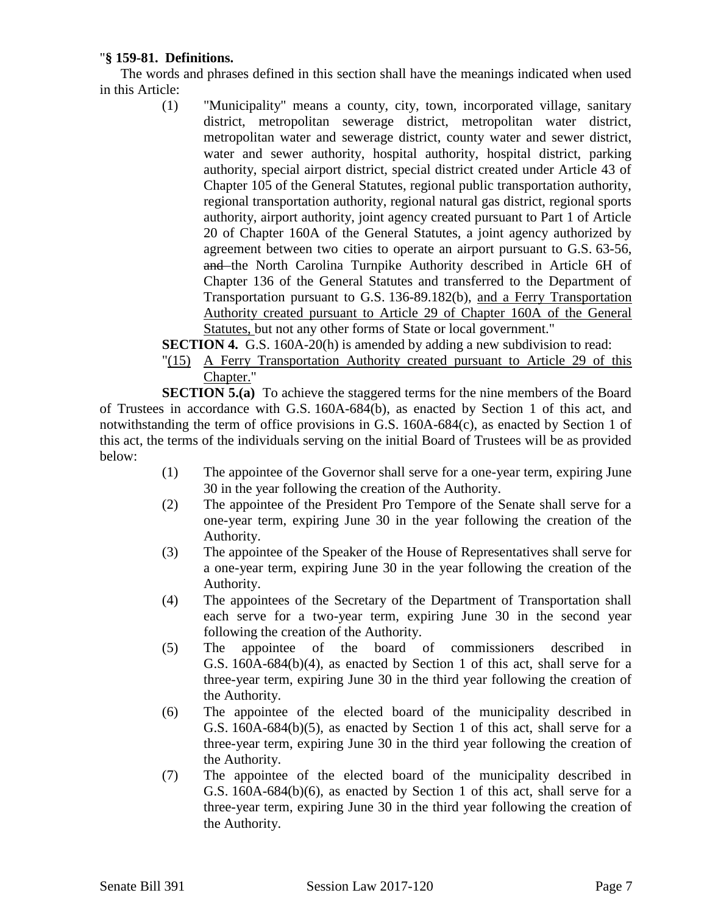### "**§ 159-81. Definitions.**

The words and phrases defined in this section shall have the meanings indicated when used in this Article:

> (1) "Municipality" means a county, city, town, incorporated village, sanitary district, metropolitan sewerage district, metropolitan water district, metropolitan water and sewerage district, county water and sewer district, water and sewer authority, hospital authority, hospital district, parking authority, special airport district, special district created under Article 43 of Chapter 105 of the General Statutes, regional public transportation authority, regional transportation authority, regional natural gas district, regional sports authority, airport authority, joint agency created pursuant to Part 1 of Article 20 of Chapter 160A of the General Statutes, a joint agency authorized by agreement between two cities to operate an airport pursuant to G.S. 63-56, and the North Carolina Turnpike Authority described in Article 6H of Chapter 136 of the General Statutes and transferred to the Department of Transportation pursuant to G.S. 136-89.182(b), and a Ferry Transportation Authority created pursuant to Article 29 of Chapter 160A of the General Statutes, but not any other forms of State or local government."

**SECTION 4.** G.S. 160A-20(h) is amended by adding a new subdivision to read:

"(15) A Ferry Transportation Authority created pursuant to Article 29 of this Chapter."

**SECTION 5.(a)** To achieve the staggered terms for the nine members of the Board of Trustees in accordance with G.S. 160A-684(b), as enacted by Section 1 of this act, and notwithstanding the term of office provisions in G.S. 160A-684(c), as enacted by Section 1 of this act, the terms of the individuals serving on the initial Board of Trustees will be as provided below:

- (1) The appointee of the Governor shall serve for a one-year term, expiring June 30 in the year following the creation of the Authority.
- (2) The appointee of the President Pro Tempore of the Senate shall serve for a one-year term, expiring June 30 in the year following the creation of the Authority.
- (3) The appointee of the Speaker of the House of Representatives shall serve for a one-year term, expiring June 30 in the year following the creation of the Authority.
- (4) The appointees of the Secretary of the Department of Transportation shall each serve for a two-year term, expiring June 30 in the second year following the creation of the Authority.
- (5) The appointee of the board of commissioners described in G.S. 160A-684(b)(4), as enacted by Section 1 of this act, shall serve for a three-year term, expiring June 30 in the third year following the creation of the Authority.
- (6) The appointee of the elected board of the municipality described in G.S. 160A-684(b)(5), as enacted by Section 1 of this act, shall serve for a three-year term, expiring June 30 in the third year following the creation of the Authority.
- (7) The appointee of the elected board of the municipality described in G.S. 160A-684(b)(6), as enacted by Section 1 of this act, shall serve for a three-year term, expiring June 30 in the third year following the creation of the Authority.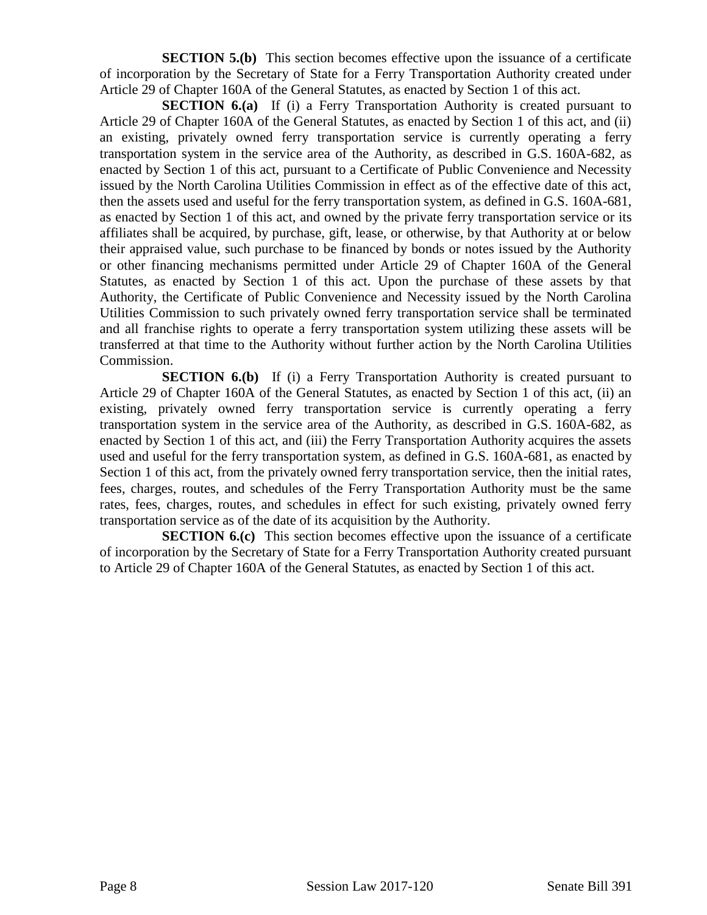**SECTION 5.(b)** This section becomes effective upon the issuance of a certificate of incorporation by the Secretary of State for a Ferry Transportation Authority created under Article 29 of Chapter 160A of the General Statutes, as enacted by Section 1 of this act.

**SECTION 6.(a)** If (i) a Ferry Transportation Authority is created pursuant to Article 29 of Chapter 160A of the General Statutes, as enacted by Section 1 of this act, and (ii) an existing, privately owned ferry transportation service is currently operating a ferry transportation system in the service area of the Authority, as described in G.S. 160A-682, as enacted by Section 1 of this act, pursuant to a Certificate of Public Convenience and Necessity issued by the North Carolina Utilities Commission in effect as of the effective date of this act, then the assets used and useful for the ferry transportation system, as defined in G.S. 160A-681, as enacted by Section 1 of this act, and owned by the private ferry transportation service or its affiliates shall be acquired, by purchase, gift, lease, or otherwise, by that Authority at or below their appraised value, such purchase to be financed by bonds or notes issued by the Authority or other financing mechanisms permitted under Article 29 of Chapter 160A of the General Statutes, as enacted by Section 1 of this act. Upon the purchase of these assets by that Authority, the Certificate of Public Convenience and Necessity issued by the North Carolina Utilities Commission to such privately owned ferry transportation service shall be terminated and all franchise rights to operate a ferry transportation system utilizing these assets will be transferred at that time to the Authority without further action by the North Carolina Utilities Commission.

**SECTION 6.(b)** If (i) a Ferry Transportation Authority is created pursuant to Article 29 of Chapter 160A of the General Statutes, as enacted by Section 1 of this act, (ii) an existing, privately owned ferry transportation service is currently operating a ferry transportation system in the service area of the Authority, as described in G.S. 160A-682, as enacted by Section 1 of this act, and (iii) the Ferry Transportation Authority acquires the assets used and useful for the ferry transportation system, as defined in G.S. 160A-681, as enacted by Section 1 of this act, from the privately owned ferry transportation service, then the initial rates, fees, charges, routes, and schedules of the Ferry Transportation Authority must be the same rates, fees, charges, routes, and schedules in effect for such existing, privately owned ferry transportation service as of the date of its acquisition by the Authority.

**SECTION 6.(c)** This section becomes effective upon the issuance of a certificate of incorporation by the Secretary of State for a Ferry Transportation Authority created pursuant to Article 29 of Chapter 160A of the General Statutes, as enacted by Section 1 of this act.